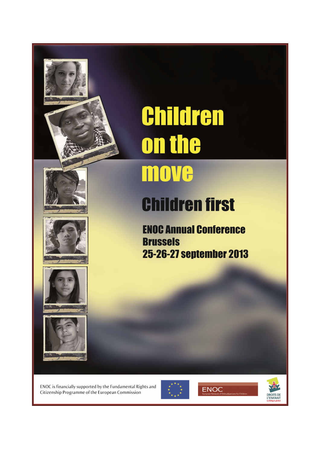









# **Children** the on

# **Children first**

**ENOC Annual Conference Brussels** 25-26-27 september 2013

ENOC is financially supported by the Fundamental Rights and Citizenship Programme of the European Commission





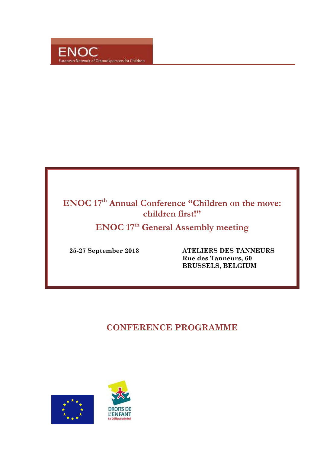

# **ENOC 17th Annual Conference "Children on the move: children first!"**

**ENOC 17th General Assembly meeting** 

 **25-27 September 2013 ATELIERS DES TANNEURS Rue des Tanneurs, 60 BRUSSELS, BELGIUM** 

# **CONFERENCE PROGRAMME**



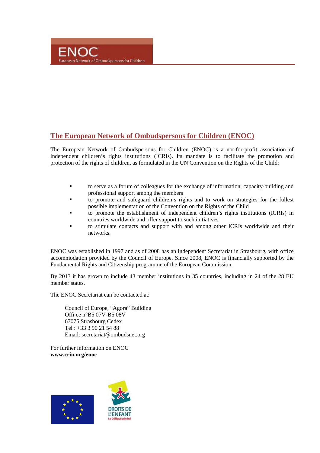# **The European Network of Ombudspersons for Children (ENOC)**

The European Network of Ombudspersons for Children (ENOC) is a not-for-profit association of independent children's rights institutions (ICRIs). Its mandate is to facilitate the promotion and protection of the rights of children, as formulated in the UN Convention on the Rights of the Child:

- to serve as a forum of colleagues for the exchange of information, capacity-building and professional support among the members
- to promote and safeguard children's rights and to work on strategies for the fullest possible implementation of the Convention on the Rights of the Child
- to promote the establishment of independent children's rights institutions (ICRIs) in countries worldwide and offer support to such initiatives
- to stimulate contacts and support with and among other ICRIs worldwide and their networks.

ENOC was established in 1997 and as of 2008 has an independent Secretariat in Strasbourg, with office accommodation provided by the Council of Europe. Since 2008, ENOC is financially supported by the Fundamental Rights and Citizenship programme of the European Commission.

By 2013 it has grown to include 43 member institutions in 35 countries, including in 24 of the 28 EU member states.

The ENOC Secretariat can be contacted at:

Council of Europe, "Agora" Building Offi ce n°B5 07V-B5 08V 67075 Strasbourg Cedex Tel : +33 3 90 21 54 88 Email: secretariat@ombudsnet.org

For further information on ENOC **www.crin.org/enoc**



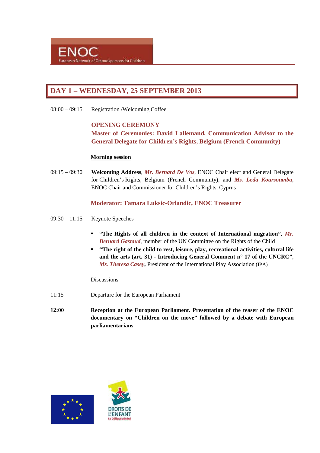# **DAY 1 – WEDNESDAY, 25 SEPTEMBER 2013**

08:00 – 09:15 Registration /Welcoming Coffee

#### **OPENING CEREMONY**

**Master of Ceremonies: David Lallemand, Communication Advisor to the General Delegate for Children's Rights, Belgium (French Community)** 

#### **Morning session**

09:15 – 09:30 **Welcoming Address**, *Mr. Bernard De Vos*, ENOC Chair elect and General Delegate for Children's Rights, Belgium (French Community), and *Ms. Leda Koursoumba*, ENOC Chair and Commissioner for Children's Rights, Cyprus

## **Moderator: Tamara Luksic-Orlandic, ENOC Treasurer**

- 09:30 11:15 Keynote Speeches
	- **"The Rights of all children in the context of International migration"**, *Mr. Bernard Gastaud*, member of the UN Committee on the Rights of the Child
	- **"The right of the child to rest, leisure, play, recreational activities, cultural life and the arts (art. 31) - Introducing General Comment n° 17 of the UNCRC"**, *Ms. Theresa Casey***,** President of the International Play Association (IPA)

#### **Discussions**

- 11:15 Departure for the European Parliament
- **12:00 Reception at the European Parliament. Presentation of the teaser of the ENOC documentary on "Children on the move" followed by a debate with European parliamentarians**



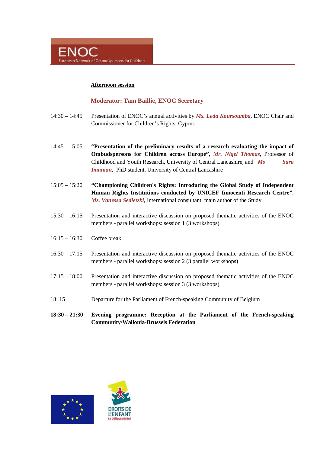

#### **Afternoon session**

#### **Moderator: Tam Baillie, ENOC Secretary**

- 14:30 14:45 Presentation of ENOC's annual activities by *Ms. Leda Koursoumba*, ENOC Chair and Commissioner for Children's Rights, Cyprus
- 14:45 15:05 **"Presentation of the preliminary results of a research evaluating the impact of Ombudspersons for Children across Europe"**, *Mr. Nigel Thomas*, Professor of Childhood and Youth Research, University of Central Lancashire, and *Ms Sara Imanian,* PhD student, University of Central Lancashire
- 15:05 15:20 **"Championing Children's Rights: Introducing the Global Study of Independent Human Rights Institutions conducted by UNICEF Innocenti Research Centre"**, *Ms. Vanessa Sedletzki*, International consultant, main author of the Study
- 15:30 16:15 Presentation and interactive discussion on proposed thematic activities of the ENOC members - parallel workshops: session 1 (3 workshops)
- 16:15 16:30 Coffee break
- 16:30 17:15 Presentation and interactive discussion on proposed thematic activities of the ENOC members - parallel workshops: session 2 (3 parallel workshops)
- 17:15 18:00 Presentation and interactive discussion on proposed thematic activities of the ENOC members - parallel workshops: session 3 (3 workshops)
- 18: 15 Departure for the Parliament of French-speaking Community of Belgium
- **18:30 21:30 Evening programme: Reception at the Parliament of the French-speaking Community/Wallonia-Brussels Federation**



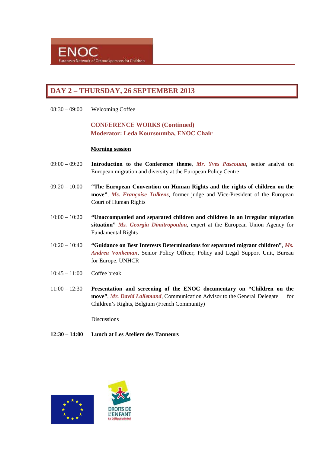# **DAY 2 – THURSDAY, 26 SEPTEMBER 2013**

08:30 – 09:00 Welcoming Coffee

# **CONFERENCE WORKS (Continued) Moderator: Leda Koursoumba, ENOC Chair**

#### **Morning session**

- 09:00 09:20 **Introduction to the Conference theme**, *Mr. Yves Pascouau*, senior analyst on European migration and diversity at the European Policy Centre
- 09:20 10:00 **"The European Convention on Human Rights and the rights of children on the move"**, *Ms. Françoise Tulkens*, former judge and Vice-President of the European Court of Human Rights
- 10:00 10:20 **"Unaccompanied and separated children and children in an irregular migration situation"** *Ms. Georgia Dimitropoulou*, expert at the European Union Agency for Fundamental Rights
- 10:20 10:40 **"Guidance on Best Interests Determinations for separated migrant children"**, *Ms. Andrea Vonkeman*, Senior Policy Officer, Policy and Legal Support Unit, Bureau for Europe, UNHCR
- 10:45 11:00 Coffee break
- 11:00 12:30 **Presentation and screening of the ENOC documentary on "Children on the move"**, *Mr. David Lallemand*, Communication Advisor to the General Delegate for Children's Rights, Belgium (French Community)

**Discussions** 

**12:30 – 14:00 Lunch at Les Ateliers des Tanneurs** 



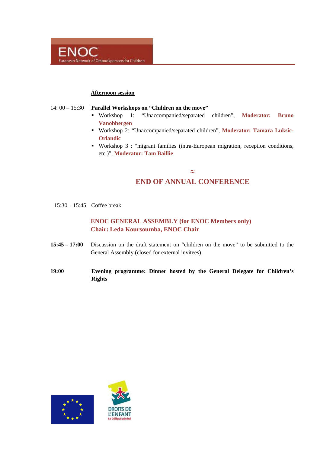

#### **Afternoon session**

#### 14: 00 – 15:30 **Parallel Workshops on "Children on the move"**

- Workshop 1: "Unaccompanied/separated children", **Moderator: Bruno Vanobbergen**
- Workshop 2: "Unaccompanied/separated children", **Moderator: Tamara Luksic-Orlandic**
- Workshop 3 : "migrant families (intra-European migration, reception conditions, etc.)", **Moderator: Tam Baillie**

# **≈ END OF ANNUAL CONFERENCE**

15:30 – 15:45 Coffee break

# **ENOC GENERAL ASSEMBLY (for ENOC Members only) Chair: Leda Koursoumba, ENOC Chair**

- **15:45 17:00** Discussion on the draft statement on "children on the move" to be submitted to the General Assembly (closed for external invitees)
- **19:00 Evening programme: Dinner hosted by the General Delegate for Children's Rights**